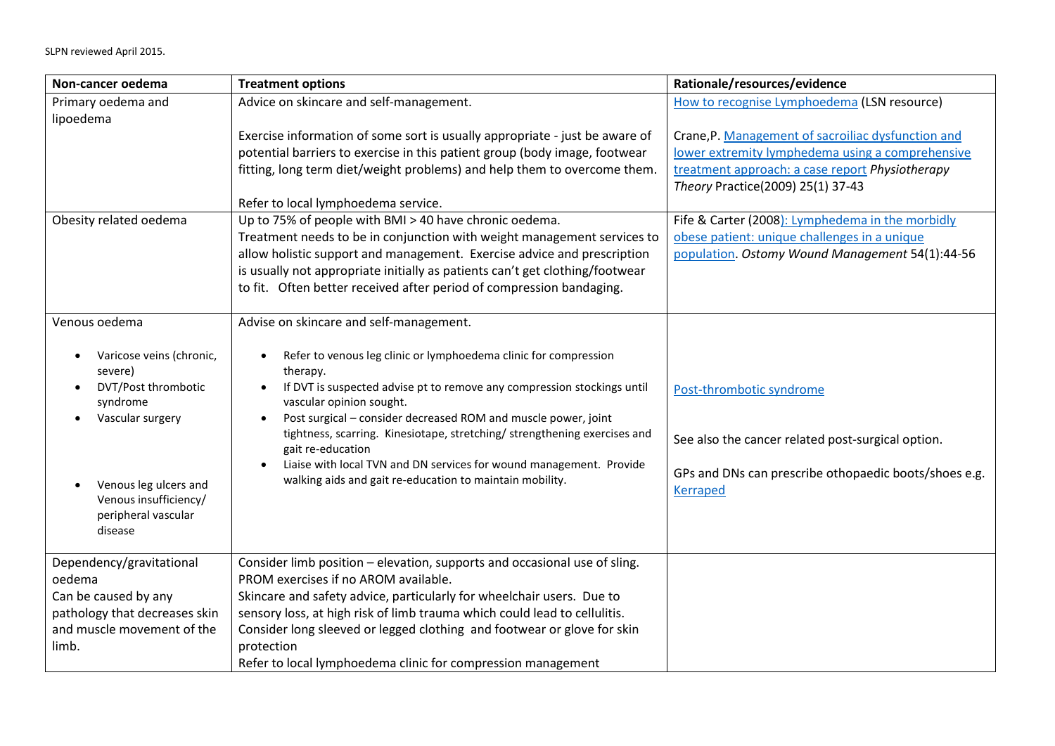| Non-cancer oedema             | <b>Treatment options</b>                                                                                                                    | Rationale/resources/evidence                          |
|-------------------------------|---------------------------------------------------------------------------------------------------------------------------------------------|-------------------------------------------------------|
| Primary oedema and            | Advice on skincare and self-management.                                                                                                     | How to recognise Lymphoedema (LSN resource)           |
| lipoedema                     |                                                                                                                                             |                                                       |
|                               | Exercise information of some sort is usually appropriate - just be aware of                                                                 | Crane, P. Management of sacroiliac dysfunction and    |
|                               | potential barriers to exercise in this patient group (body image, footwear                                                                  | lower extremity lymphedema using a comprehensive      |
|                               | fitting, long term diet/weight problems) and help them to overcome them.                                                                    | treatment approach: a case report Physiotherapy       |
|                               |                                                                                                                                             | Theory Practice(2009) 25(1) 37-43                     |
|                               | Refer to local lymphoedema service.                                                                                                         |                                                       |
| Obesity related oedema        | Up to 75% of people with BMI > 40 have chronic oedema.                                                                                      | Fife & Carter (2008): Lymphedema in the morbidly      |
|                               | Treatment needs to be in conjunction with weight management services to                                                                     | obese patient: unique challenges in a unique          |
|                               | allow holistic support and management. Exercise advice and prescription                                                                     | population. Ostomy Wound Management 54(1):44-56       |
|                               | is usually not appropriate initially as patients can't get clothing/footwear                                                                |                                                       |
|                               | to fit. Often better received after period of compression bandaging.                                                                        |                                                       |
| Venous oedema                 | Advise on skincare and self-management.                                                                                                     |                                                       |
|                               |                                                                                                                                             |                                                       |
| Varicose veins (chronic,      | Refer to venous leg clinic or lymphoedema clinic for compression                                                                            |                                                       |
| severe)                       | therapy.                                                                                                                                    |                                                       |
| DVT/Post thrombotic<br>٠      | If DVT is suspected advise pt to remove any compression stockings until                                                                     | Post-thrombotic syndrome                              |
| syndrome                      | vascular opinion sought.                                                                                                                    |                                                       |
| Vascular surgery              | Post surgical - consider decreased ROM and muscle power, joint<br>tightness, scarring. Kinesiotape, stretching/ strengthening exercises and |                                                       |
|                               | gait re-education                                                                                                                           | See also the cancer related post-surgical option.     |
|                               | Liaise with local TVN and DN services for wound management. Provide                                                                         |                                                       |
| Venous leg ulcers and         | walking aids and gait re-education to maintain mobility.                                                                                    | GPs and DNs can prescribe othopaedic boots/shoes e.g. |
| Venous insufficiency/         |                                                                                                                                             | <b>Kerraped</b>                                       |
| peripheral vascular           |                                                                                                                                             |                                                       |
| disease                       |                                                                                                                                             |                                                       |
| Dependency/gravitational      | Consider limb position - elevation, supports and occasional use of sling.                                                                   |                                                       |
| oedema                        | PROM exercises if no AROM available.                                                                                                        |                                                       |
| Can be caused by any          | Skincare and safety advice, particularly for wheelchair users. Due to                                                                       |                                                       |
| pathology that decreases skin | sensory loss, at high risk of limb trauma which could lead to cellulitis.                                                                   |                                                       |
| and muscle movement of the    | Consider long sleeved or legged clothing and footwear or glove for skin                                                                     |                                                       |
| limb.                         | protection                                                                                                                                  |                                                       |
|                               | Refer to local lymphoedema clinic for compression management                                                                                |                                                       |